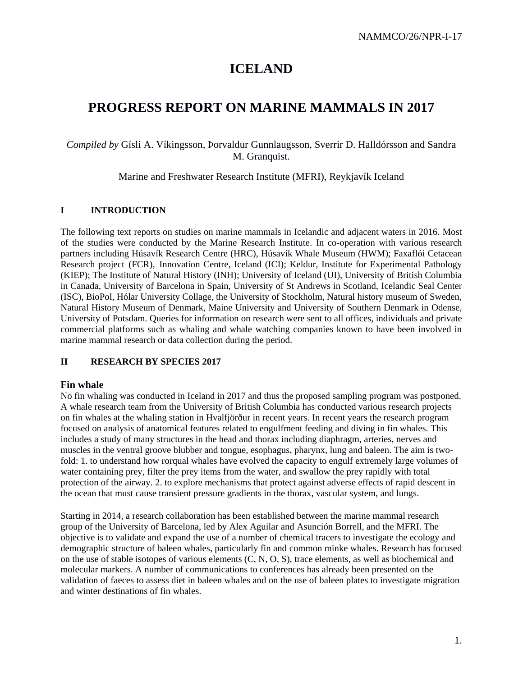# **ICELAND**

# **PROGRESS REPORT ON MARINE MAMMALS IN 2017**

## *Compiled by* Gísli A. Víkingsson, Þorvaldur Gunnlaugsson, Sverrir D. Halldórsson and Sandra M. Granquist.

Marine and Freshwater Research Institute (MFRI), Reykjavík Iceland

## **I INTRODUCTION**

The following text reports on studies on marine mammals in Icelandic and adjacent waters in 2016. Most of the studies were conducted by the Marine Research Institute. In co-operation with various research partners including Húsavík Research Centre (HRC), Húsavík Whale Museum (HWM); Faxaflói Cetacean Research project (FCR), Innovation Centre, Iceland (ICI); Keldur, Institute for Experimental Pathology (KIEP); The Institute of Natural History (INH); University of Iceland (UI), University of British Columbia in Canada, University of Barcelona in Spain, University of St Andrews in Scotland, Icelandic Seal Center (ISC), BioPol, Hólar University Collage, the University of Stockholm, Natural history museum of Sweden, Natural History Museum of Denmark, Maine University and University of Southern Denmark in Odense, University of Potsdam. Queries for information on research were sent to all offices, individuals and private commercial platforms such as whaling and whale watching companies known to have been involved in marine mammal research or data collection during the period.

## **II RESEARCH BY SPECIES 2017**

## **Fin whale**

No fin whaling was conducted in Iceland in 2017 and thus the proposed sampling program was postponed. A whale research team from the University of British Columbia has conducted various research projects on fin whales at the whaling station in Hvalfjörður in recent years. In recent years the research program focused on analysis of anatomical features related to engulfment feeding and diving in fin whales. This includes a study of many structures in the head and thorax including diaphragm, arteries, nerves and muscles in the ventral groove blubber and tongue, esophagus, pharynx, lung and baleen. The aim is twofold: 1. to understand how rorqual whales have evolved the capacity to engulf extremely large volumes of water containing prey, filter the prey items from the water, and swallow the prey rapidly with total protection of the airway. 2. to explore mechanisms that protect against adverse effects of rapid descent in the ocean that must cause transient pressure gradients in the thorax, vascular system, and lungs.

Starting in 2014, a research collaboration has been established between the marine mammal research group of the University of Barcelona, led by Alex Aguilar and Asunción Borrell, and the MFRI. The objective is to validate and expand the use of a number of chemical tracers to investigate the ecology and demographic structure of baleen whales, particularly fin and common minke whales. Research has focused on the use of stable isotopes of various elements (C, N, O, S), trace elements, as well as biochemical and molecular markers. A number of communications to conferences has already been presented on the validation of faeces to assess diet in baleen whales and on the use of baleen plates to investigate migration and winter destinations of fin whales.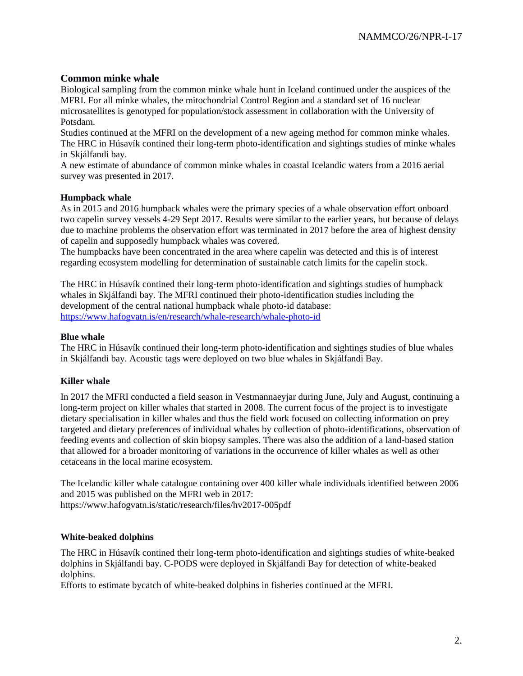## **Common minke whale**

Biological sampling from the common minke whale hunt in Iceland continued under the auspices of the MFRI. For all minke whales, the mitochondrial Control Region and a standard set of 16 nuclear microsatellites is genotyped for population/stock assessment in collaboration with the University of Potsdam.

Studies continued at the MFRI on the development of a new ageing method for common minke whales. The HRC in Húsavík contined their long-term photo-identification and sightings studies of minke whales in Skjálfandi bay.

A new estimate of abundance of common minke whales in coastal Icelandic waters from a 2016 aerial survey was presented in 2017.

## **Humpback whale**

As in 2015 and 2016 humpback whales were the primary species of a whale observation effort onboard two capelin survey vessels 4-29 Sept 2017. Results were similar to the earlier years, but because of delays due to machine problems the observation effort was terminated in 2017 before the area of highest density of capelin and supposedly humpback whales was covered.

The humpbacks have been concentrated in the area where capelin was detected and this is of interest regarding ecosystem modelling for determination of sustainable catch limits for the capelin stock.

The HRC in Húsavík contined their long-term photo-identification and sightings studies of humpback whales in Skjálfandi bay. The MFRI continued their photo-identification studies including the development of the central national humpback whale photo-id database: <https://www.hafogvatn.is/en/research/whale-research/whale-photo-id>

#### **Blue whale**

The HRC in Húsavík continued their long-term photo-identification and sightings studies of blue whales in Skjálfandi bay. Acoustic tags were deployed on two blue whales in Skjálfandi Bay.

## **Killer whale**

In 2017 the MFRI conducted a field season in Vestmannaeyjar during June, July and August, continuing a long-term project on killer whales that started in 2008. The current focus of the project is to investigate dietary specialisation in killer whales and thus the field work focused on collecting information on prey targeted and dietary preferences of individual whales by collection of photo-identifications, observation of feeding events and collection of skin biopsy samples. There was also the addition of a land-based station that allowed for a broader monitoring of variations in the occurrence of killer whales as well as other cetaceans in the local marine ecosystem.

The Icelandic killer whale catalogue containing over 400 killer whale individuals identified between 2006 and 2015 was published on the MFRI web in 2017: https://www.hafogvatn.is/static/research/files/hv2017-005pdf

## **White-beaked dolphins**

The HRC in Húsavík contined their long-term photo-identification and sightings studies of white-beaked dolphins in Skjálfandi bay. C-PODS were deployed in Skjálfandi Bay for detection of white-beaked dolphins.

Efforts to estimate bycatch of white-beaked dolphins in fisheries continued at the MFRI.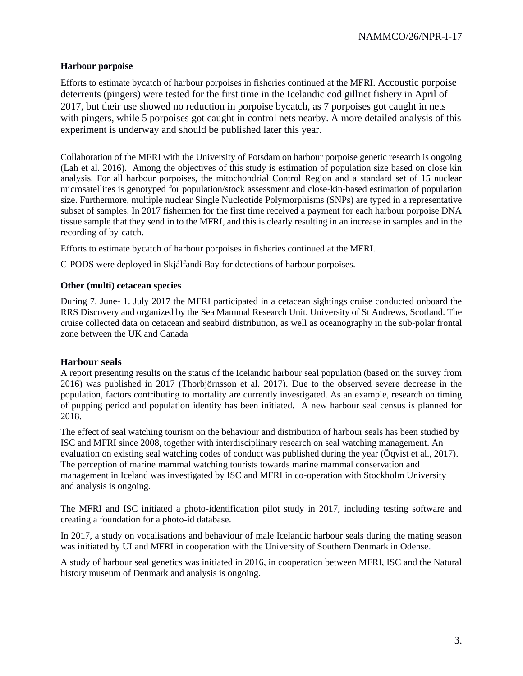#### **Harbour porpoise**

Efforts to estimate bycatch of harbour porpoises in fisheries continued at the MFRI. Accoustic porpoise deterrents (pingers) were tested for the first time in the Icelandic cod gillnet fishery in April of 2017, but their use showed no reduction in porpoise bycatch, as 7 porpoises got caught in nets with pingers, while 5 porpoises got caught in control nets nearby. A more detailed analysis of this experiment is underway and should be published later this year.

Collaboration of the MFRI with the University of Potsdam on harbour porpoise genetic research is ongoing (Lah et al. 2016). Among the objectives of this study is estimation of population size based on close kin analysis. For all harbour porpoises, the mitochondrial Control Region and a standard set of 15 nuclear microsatellites is genotyped for population/stock assessment and close-kin-based estimation of population size. Furthermore, multiple nuclear Single Nucleotide Polymorphisms (SNPs) are typed in a representative subset of samples. In 2017 fishermen for the first time received a payment for each harbour porpoise DNA tissue sample that they send in to the MFRI, and this is clearly resulting in an increase in samples and in the recording of by-catch.

Efforts to estimate bycatch of harbour porpoises in fisheries continued at the MFRI.

C-PODS were deployed in Skjálfandi Bay for detections of harbour porpoises.

#### **Other (multi) cetacean species**

During 7. June- 1. July 2017 the MFRI participated in a cetacean sightings cruise conducted onboard the RRS Discovery and organized by the Sea Mammal Research Unit. University of St Andrews, Scotland. The cruise collected data on cetacean and seabird distribution, as well as oceanography in the sub-polar frontal zone between the UK and Canada

#### **Harbour seals**

A report presenting results on the status of the Icelandic harbour seal population (based on the survey from 2016) was published in 2017 (Thorbjörnsson et al. 2017). Due to the observed severe decrease in the population, factors contributing to mortality are currently investigated. As an example, research on timing of pupping period and population identity has been initiated. A new harbour seal census is planned for 2018.

The effect of seal watching tourism on the behaviour and distribution of harbour seals has been studied by ISC and MFRI since 2008, together with interdisciplinary research on seal watching management. An evaluation on existing seal watching codes of conduct was published during the year (Öqvist et al., 2017). The perception of marine mammal watching tourists towards marine mammal conservation and management in Iceland was investigated by ISC and MFRI in co-operation with Stockholm University and analysis is ongoing.

The MFRI and ISC initiated a photo-identification pilot study in 2017, including testing software and creating a foundation for a photo-id database.

In 2017, a study on vocalisations and behaviour of male Icelandic harbour seals during the mating season was initiated by UI and MFRI in cooperation with the University of Southern Denmark in Odense.

A study of harbour seal genetics was initiated in 2016, in cooperation between MFRI, ISC and the Natural history museum of Denmark and analysis is ongoing.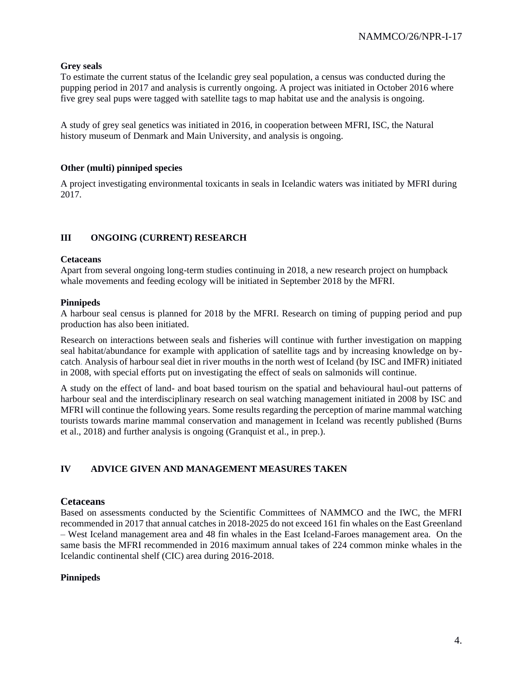#### **Grey seals**

To estimate the current status of the Icelandic grey seal population, a census was conducted during the pupping period in 2017 and analysis is currently ongoing. A project was initiated in October 2016 where five grey seal pups were tagged with satellite tags to map habitat use and the analysis is ongoing.

A study of grey seal genetics was initiated in 2016, in cooperation between MFRI, ISC, the Natural history museum of Denmark and Main University, and analysis is ongoing.

#### **Other (multi) pinniped species**

A project investigating environmental toxicants in seals in Icelandic waters was initiated by MFRI during 2017.

## **III ONGOING (CURRENT) RESEARCH**

#### **Cetaceans**

Apart from several ongoing long-term studies continuing in 2018, a new research project on humpback whale movements and feeding ecology will be initiated in September 2018 by the MFRI.

#### **Pinnipeds**

A harbour seal census is planned for 2018 by the MFRI. Research on timing of pupping period and pup production has also been initiated.

Research on interactions between seals and fisheries will continue with further investigation on mapping seal habitat/abundance for example with application of satellite tags and by increasing knowledge on bycatch. Analysis of harbour seal diet in river mouths in the north west of Iceland (by ISC and IMFR) initiated in 2008, with special efforts put on investigating the effect of seals on salmonids will continue.

A study on the effect of land- and boat based tourism on the spatial and behavioural haul-out patterns of harbour seal and the interdisciplinary research on seal watching management initiated in 2008 by ISC and MFRI will continue the following years. Some results regarding the perception of marine mammal watching tourists towards marine mammal conservation and management in Iceland was recently published (Burns et al., 2018) and further analysis is ongoing (Granquist et al., in prep.).

# **IV ADVICE GIVEN AND MANAGEMENT MEASURES TAKEN**

## **Cetaceans**

Based on assessments conducted by the Scientific Committees of NAMMCO and the IWC, the MFRI recommended in 2017 that annual catches in 2018-2025 do not exceed 161 fin whales on the East Greenland – West Iceland management area and 48 fin whales in the East Iceland-Faroes management area. On the same basis the MFRI recommended in 2016 maximum annual takes of 224 common minke whales in the Icelandic continental shelf (CIC) area during 2016-2018.

## **Pinnipeds**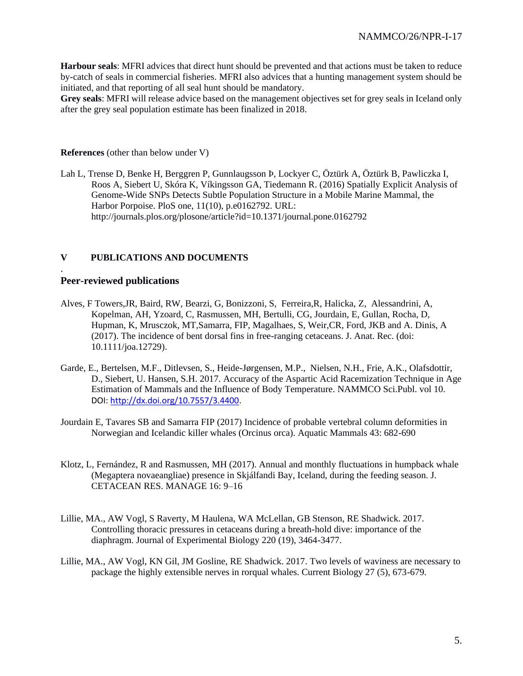**Harbour seals**: MFRI advices that direct hunt should be prevented and that actions must be taken to reduce by-catch of seals in commercial fisheries. MFRI also advices that a hunting management system should be initiated, and that reporting of all seal hunt should be mandatory.

**Grey seals**: MFRI will release advice based on the management objectives set for grey seals in Iceland only after the grey seal population estimate has been finalized in 2018.

#### **References** (other than below under V)

Lah L, Trense D, Benke H, Berggren P, Gunnlaugsson Þ, Lockyer C, Öztürk A, Öztürk B, Pawliczka I, Roos A, Siebert U, Skóra K, Víkingsson GA, Tiedemann R. (2016) Spatially Explicit Analysis of Genome-Wide SNPs Detects Subtle Population Structure in a Mobile Marine Mammal, the Harbor Porpoise. PloS one, 11(10), p.e0162792. URL: http://journals.plos.org/plosone/article?id=10.1371/journal.pone.0162792

#### **V PUBLICATIONS AND DOCUMENTS**

#### **Peer-reviewed publications**

.

- Alves, F Towers,JR, Baird, RW, Bearzi, G, Bonizzoni, S, Ferreira,R, Halicka, Z, Alessandrini, A, Kopelman, AH, Yzoard, C, Rasmussen, MH, Bertulli, CG, Jourdain, E, Gullan, Rocha, D, Hupman, K, Mrusczok, MT,Samarra, FIP, Magalhaes, S, Weir,CR, Ford, JKB and A. Dinis, A (2017). The incidence of bent dorsal fins in free-ranging cetaceans. J. Anat. Rec. (doi: 10.1111/joa.12729).
- Garde, E., Bertelsen, M.F., Ditlevsen, S., Heide-Jørgensen, M.P., Nielsen, N.H., Frie, A.K., Olafsdottir, D., Siebert, U. Hansen, S.H. 2017. [Accuracy of the Aspartic Acid Racemization Technique in Age](http://septentrio.uit.no/index.php/NAMMCOSP/article/view/4400)  [Estimation of Mammals and the Influence of Body Temperature.](http://septentrio.uit.no/index.php/NAMMCOSP/article/view/4400) NAMMCO Sci.Publ. vol 10. DOI: [http://dx.doi.org/10.7557/3.4400.](http://dx.doi.org/10.7557/3.4400)
- Jourdain E, Tavares SB and Samarra FIP (2017) Incidence of probable vertebral column deformities in Norwegian and Icelandic killer whales (Orcinus orca). Aquatic Mammals 43: 682-690
- Klotz, L, Fernández, R and Rasmussen, MH (2017). Annual and monthly fluctuations in humpback whale (Megaptera novaeangliae) presence in Skjálfandi Bay, Iceland, during the feeding season. J. CETACEAN RES. MANAGE 16: 9–16
- Lillie, MA., AW Vogl, S Raverty, M Haulena, WA McLellan, GB Stenson, RE Shadwick. 2017. Controlling thoracic pressures in cetaceans during a breath-hold dive: importance of the diaphragm. Journal of Experimental Biology 220 (19), 3464-3477.
- Lillie, MA., AW Vogl, KN Gil, JM Gosline, RE Shadwick. 2017. Two levels of waviness are necessary to package the highly extensible nerves in rorqual whales. Current Biology 27 (5), 673-679.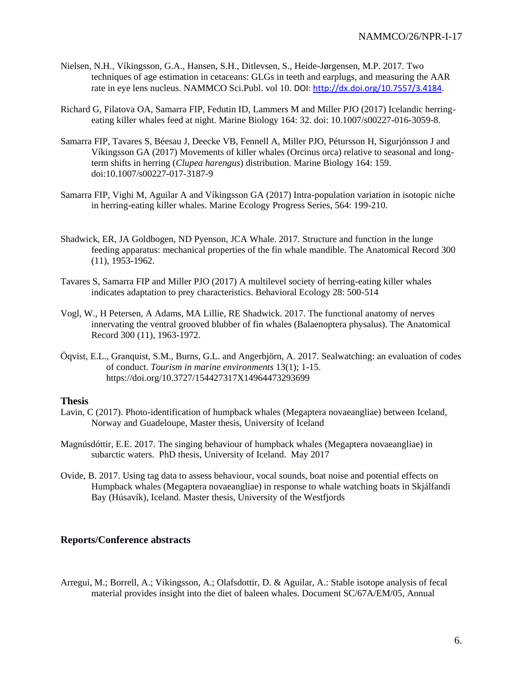- Nielsen, N.H., Víkingsson, G.A., Hansen, S.H., Ditlevsen, S., Heide-Jørgensen, M.P. 2017. [Two](http://septentrio.uit.no/index.php/NAMMCOSP/article/view/4184)  [techniques of age estimation in cetaceans: GLGs in teeth and earplugs, and measuring the AAR](http://septentrio.uit.no/index.php/NAMMCOSP/article/view/4184)  [rate in eye lens nucleus.](http://septentrio.uit.no/index.php/NAMMCOSP/article/view/4184) NAMMCO Sci.Publ. vol 10. DOI[: http://dx.doi.org/10.7557/3.4184.](http://dx.doi.org/10.7557/3.4184)
- Richard G, Filatova OA, Samarra FIP, Fedutin ID, Lammers M and Miller PJO (2017) Icelandic herringeating killer whales feed at night. Marine Biology 164: 32. doi: 10.1007/s00227-016-3059-8.
- Samarra FIP, Tavares S, Béesau J, Deecke VB, Fennell A, Miller PJO, Pétursson H, Sigurjónsson J and Víkingsson GA (2017) Movements of killer whales (Orcinus orca) relative to seasonal and longterm shifts in herring (*Clupea harengus*) distribution. Marine Biology 164: 159. doi:10.1007/s00227-017-3187-9
- Samarra FIP, Vighi M, Aguilar A and Víkingsson GA (2017) Intra-population variation in isotopic niche in herring-eating killer whales. Marine Ecology Progress Series, 564: 199-210.
- Shadwick, ER, JA Goldbogen, ND Pyenson, JCA Whale. 2017. Structure and function in the lunge feeding apparatus: mechanical properties of the fin whale mandible. The Anatomical Record 300 (11), 1953-1962.
- Tavares S, Samarra FIP and Miller PJO (2017) A multilevel society of herring-eating killer whales indicates adaptation to prey characteristics. Behavioral Ecology 28: 500-514
- Vogl, W., H Petersen, A Adams, MA Lillie, RE Shadwick. 2017. The functional anatomy of nerves innervating the ventral grooved blubber of fin whales (Balaenoptera physalus). The Anatomical Record 300 (11), 1963-1972.
- Öqvist, E.L., Granquist, S.M., Burns, G.L. and Angerbjörn, A. 2017. Sealwatching: an evaluation of codes of conduct. *Tourism in marine environments* 13(1); 1-15. <https://doi.org/10.3727/154427317X14964473293699>

#### **Thesis**

- Lavin, C (2017). Photo-identification of humpback whales (Megaptera novaeangliae) between Iceland, Norway and Guadeloupe, Master thesis, University of Iceland
- Magnúsdóttir, E.E. 2017. The singing behaviour of humpback whales (Megaptera novaeangliae) in subarctic waters. PhD thesis, University of Iceland. May 2017
- Ovide, B. 2017. Using tag data to assess behaviour, vocal sounds, boat noise and potential effects on Humpback whales (Megaptera novaeangliae) in response to whale watching boats in Skjálfandi Bay (Húsavík), Iceland. Master thesis, University of the Westfjords

## **Reports/Conference abstracts**

Arregui, M.; Borrell, A.; Víkingsson, A.; Olafsdottir, D. & Aguilar, A.: Stable isotope analysis of fecal material provides insight into the diet of baleen whales. Document SC/67A/EM/05, Annual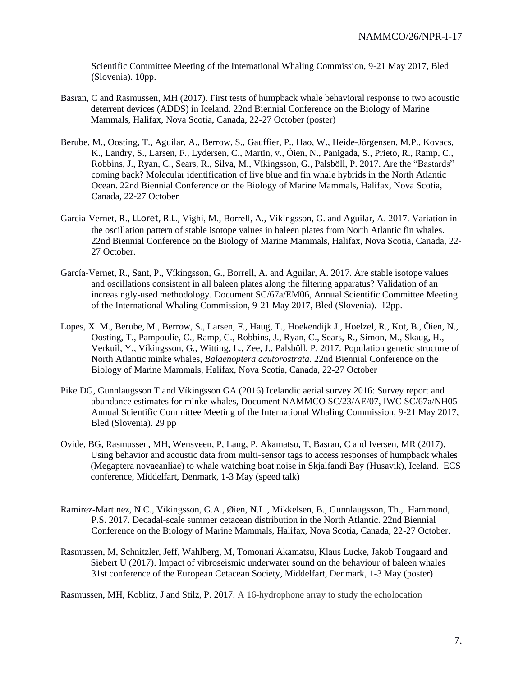Scientific Committee Meeting of the International Whaling Commission, 9-21 May 2017, Bled (Slovenia). 10pp.

- Basran, C and Rasmussen, MH (2017). First tests of humpback whale behavioral response to two acoustic deterrent devices (ADDS) in Iceland. 22nd Biennial Conference on the Biology of Marine Mammals, Halifax, Nova Scotia, Canada, 22-27 October (poster)
- Berube, M., Oosting, T., Aguilar, A., Berrow, S., Gauffier, P., Hao, W., Heide-Jörgensen, M.P., Kovacs, K., Landry, S., Larsen, F., Lydersen, C., Martin, v., Öien, N., Panigada, S., Prieto, R., Ramp, C., Robbins, J., Ryan, C., Sears, R., Silva, M., Víkingsson, G., Palsböll, P. 2017. Are the "Bastards" coming back? Molecular identification of live blue and fin whale hybrids in the North Atlantic Ocean. 22nd Biennial Conference on the Biology of Marine Mammals, Halifax, Nova Scotia, Canada, 22-27 October
- García-Vernet, R., LLoret, R.L., Vighi, M., Borrell, A., Víkingsson, G. and Aguilar, A. 2017. Variation in the oscillation pattern of stable isotope values in baleen plates from North Atlantic fin whales. 22nd Biennial Conference on the Biology of Marine Mammals, Halifax, Nova Scotia, Canada, 22- 27 October.
- García-Vernet, R., Sant, P., Víkingsson, G., Borrell, A. and Aguilar, A. 2017. Are stable isotope values and oscillations consistent in all baleen plates along the filtering apparatus? Validation of an increasingly-used methodology. Document SC/67a/EM06, Annual Scientific Committee Meeting of the International Whaling Commission, 9-21 May 2017, Bled (Slovenia). 12pp.
- Lopes, X. M., Berube, M., Berrow, S., Larsen, F., Haug, T., Hoekendijk J., Hoelzel, R., Kot, B., Öien, N., Oosting, T., Pampoulie, C., Ramp, C., Robbins, J., Ryan, C., Sears, R., Simon, M., Skaug, H., Verkuil, Y., Víkingsson, G., Witting, L., Zee, J., Palsböll, P. 2017. Population genetic structure of North Atlantic minke whales, *Balaenoptera acutorostrata*. 22nd Biennial Conference on the Biology of Marine Mammals, Halifax, Nova Scotia, Canada, 22-27 October
- Pike DG, Gunnlaugsson T and Víkingsson GA (2016) Icelandic aerial survey 2016: Survey report and abundance estimates for minke whales, Document NAMMCO SC/23/AE/07, IWC SC/67a/NH05 Annual Scientific Committee Meeting of the International Whaling Commission, 9-21 May 2017, Bled (Slovenia). 29 pp
- Ovide, BG, Rasmussen, MH, Wensveen, P, Lang, P, Akamatsu, T, Basran, C and Iversen, MR (2017). Using behavior and acoustic data from multi-sensor tags to access responses of humpback whales (Megaptera novaeanliae) to whale watching boat noise in Skjalfandi Bay (Husavik), Iceland. ECS conference, Middelfart, Denmark, 1-3 May (speed talk)
- Ramirez-Martinez, N.C., Víkingsson, G.A., Øien, N.L., Mikkelsen, B., Gunnlaugsson, Th.,. Hammond, P.S. 2017. Decadal-scale summer cetacean distribution in the North Atlantic. 22nd Biennial Conference on the Biology of Marine Mammals, Halifax, Nova Scotia, Canada, 22-27 October.
- Rasmussen, M, Schnitzler, Jeff, Wahlberg, M, Tomonari Akamatsu, Klaus Lucke, Jakob Tougaard and Siebert U (2017). Impact of vibroseismic underwater sound on the behaviour of baleen whales 31st conference of the European Cetacean Society, Middelfart, Denmark, 1-3 May (poster)

Rasmussen, MH, Koblitz, J and Stilz, P. 2017. A 16-hydrophone array to study the echolocation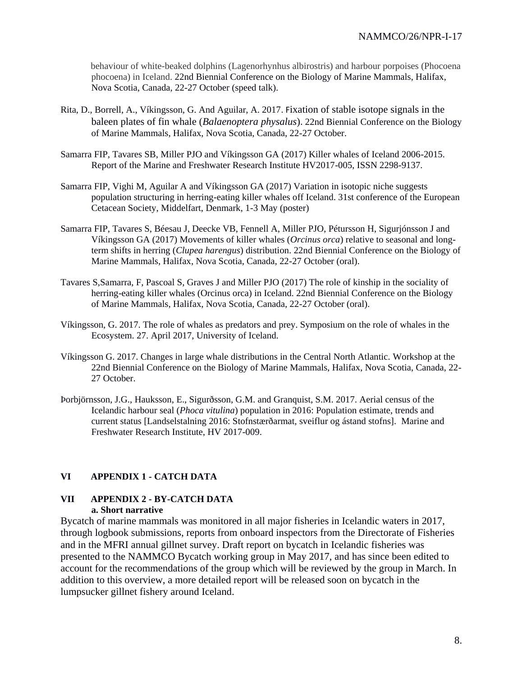behaviour of white-beaked dolphins (Lagenorhynhus albirostris) and harbour porpoises (Phocoena phocoena) in Iceland. 22nd Biennial Conference on the Biology of Marine Mammals, Halifax, Nova Scotia, Canada, 22-27 October (speed talk).

- Rita, D., Borrell, A., Víkingsson, G. And Aguilar, A. 2017. Fixation of stable isotope signals in the baleen plates of fin whale (*Balaenoptera physalus*). 22nd Biennial Conference on the Biology of Marine Mammals, Halifax, Nova Scotia, Canada, 22-27 October.
- Samarra FIP, Tavares SB, Miller PJO and Víkingsson GA (2017) Killer whales of Iceland 2006-2015. Report of the Marine and Freshwater Research Institute HV2017-005, ISSN 2298-9137.
- Samarra FIP, Vighi M, Aguilar A and Víkingsson GA (2017) Variation in isotopic niche suggests population structuring in herring-eating killer whales off Iceland. 31st conference of the European Cetacean Society, Middelfart, Denmark, 1-3 May (poster)
- Samarra FIP, Tavares S, Béesau J, Deecke VB, Fennell A, Miller PJO, Pétursson H, Sigurjónsson J and Víkingsson GA (2017) Movements of killer whales (*Orcinus orca*) relative to seasonal and longterm shifts in herring (*Clupea harengus*) distribution. 22nd Biennial Conference on the Biology of Marine Mammals, Halifax, Nova Scotia, Canada, 22-27 October (oral).
- Tavares S,Samarra, F, Pascoal S, Graves J and Miller PJO (2017) The role of kinship in the sociality of herring-eating killer whales (Orcinus orca) in Iceland. 22nd Biennial Conference on the Biology of Marine Mammals, Halifax, Nova Scotia, Canada, 22-27 October (oral).
- Víkingsson, G. 2017. The role of whales as predators and prey. Symposium on the role of whales in the Ecosystem. 27. April 2017, University of Iceland.
- Víkingsson G. 2017. Changes in large whale distributions in the Central North Atlantic. Workshop at the 22nd Biennial Conference on the Biology of Marine Mammals, Halifax, Nova Scotia, Canada, 22- 27 October.
- Þorbjörnsson, J.G., Hauksson, E., Sigurðsson, G.M. and Granquist, S.M. 2017. Aerial census of the Icelandic harbour seal (*Phoca vitulina*) population in 2016: Population estimate, trends and current status [Landselstalning 2016: Stofnstærðarmat, sveiflur og ástand stofns]. Marine and Freshwater Research Institute, HV 2017-009.

## **VI APPENDIX 1 - CATCH DATA**

#### **VII APPENDIX 2 - BY-CATCH DATA a. Short narrative**

Bycatch of marine mammals was monitored in all major fisheries in Icelandic waters in 2017, through logbook submissions, reports from onboard inspectors from the Directorate of Fisheries and in the MFRI annual gillnet survey. Draft report on bycatch in Icelandic fisheries was presented to the NAMMCO Bycatch working group in May 2017, and has since been edited to account for the recommendations of the group which will be reviewed by the group in March. In addition to this overview, a more detailed report will be released soon on bycatch in the lumpsucker gillnet fishery around Iceland.